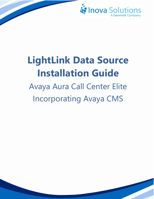

# **LightLink Data Source Installation Guide**

Avaya Aura Call Center Elite Incorporating Avaya CMS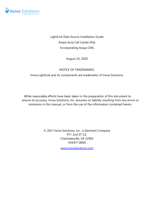

LightLink Data Source Installation Guide Avaya Aura Call Center Elite Incorporating Avaya CMS

August 25, 2020

#### NOTICE OF TRADEMARKS:

Inova LightLink and its components are trademarks of Inova Solutions.

While reasonable efforts have been taken in the preparation of this document to ensure its accuracy, Inova Solutions, Inc. assumes no liability resulting from any errors or omissions in this manual, or from the use of the information contained herein.

> © 2021 Inova Solutions, Inc., a Geomant Company 971 2nd ST S.E. Charlottesville, VA 22902 434.817.8000

> > [www.inovasolutions.com](http://www.inovasolutions.com/)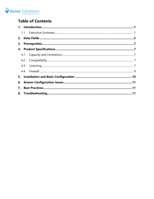

# **Table of Contents**

| 6. |  |  |  |  |  |
|----|--|--|--|--|--|
| 7. |  |  |  |  |  |
|    |  |  |  |  |  |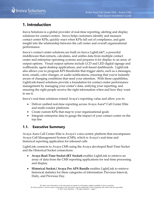

# <span id="page-3-0"></span>**1. Introduction**

Inova Solutions is a global provider of real-time reporting, alerting and display solutions for contact centers. Inova helps customers identify and measure contact center KPIs, quickly react when KPIs fall out of compliance, and gain insight into the relationship between the call center and overall organizational performance.

Inova's contact center solutions are built on Inova LightLink®, a powerful middleware that extracts, calculates, and unifies data from multiple contact center and enterprise operating systems and prepares it for display to an array of output options. Visual output options include LCD and LED digital signage and wallboards, agent desktop applications, and web-based dashboards. LightLink also allows you to program KPI thresholds that trigger alerts, such as a messages, texts, emails, color changes, or audio notifications, ensuring that you're instantly aware of changing conditions that need your attention. With these capabilities, LightLink-based solutions provide a foundation for contact center performance management by managing your center's data, unifying your reporting, and ensuring the right people receive the right information when and how they want to see it.

Inova's real-time solutions extend Avaya's reporting value and allow you to:

- Deliver unified real-time reporting across Avaya Aura® Call Center Elite and multi-vendor platforms
- Create custom KPIs that map to your organizational goals
- Integrate enterprise data to gauge the impact of your contact center on the top line

#### <span id="page-3-1"></span>**1.1. Executive Summary**

Avaya Aura Call Center Elite is Avaya's voice-centric platform that encompasses Avaya Call Management System (CMS), which is Avaya's real-time and historical reporting application for inbound calls

LightLink connects to Avaya CMS using the Avaya developed Real-Time Socket and the Historical Socket connections:

- **Avaya Real-Time Socket (RT Socket)** enables LightLink to retrieve an array of data from the CMS reporting applications for real-time processing and display.
- **Historical Socket / Avaya Pro APS Bundle** enables LightLink to retrieve historical statistics for three categories of information: Previous Interval, Daily, and Previous Day.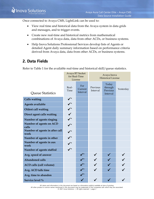Once connected to Avaya CMS, LightLink can be used to:

- View real time and historical data from the Avaya system in data grids and messages, and to trigger events.
- Create new real-time and historical metrics from mathematical combinations of Avaya data, data from other ACDs, or business systems.
- Help Inova Solutions Professional Services develop lists of Agents or detailed Agent daily summary information based on performance criteria derived from Avaya data, data from other ACDs, or business systems.

# <span id="page-4-0"></span>**2. Data Fields**

Refer to [Table 1](#page-5-0) for the available real-time and historical skill/queue statistics.

|                                        | Avaya RT Socket<br>for Real-Time<br>License |                            | Avaya Inova<br><b>Historical License</b> |                                          |           |  |
|----------------------------------------|---------------------------------------------|----------------------------|------------------------------------------|------------------------------------------|-----------|--|
| Queue Statistics                       | Real-<br>Time                               | For<br>Current<br>Interval | Previous<br>Interval                     | Today<br>through<br>Previous<br>Interval | Yesterday |  |
| <b>Calls waiting</b>                   | $\sqrt{\frac{1}{2}}$                        |                            |                                          |                                          |           |  |
| <b>Agents available</b>                | $\checkmark$                                |                            |                                          |                                          |           |  |
| Oldest call waiting                    | $\checkmark$                                |                            |                                          |                                          |           |  |
| Direct agent calls waiting             |                                             |                            |                                          |                                          |           |  |
| Number of agents ringing               | $\checkmark$                                |                            |                                          |                                          |           |  |
| Number of agents on ACD<br>calls       | $\checkmark^*$                              |                            |                                          |                                          |           |  |
| Number of agents in after call<br>work | $\checkmark$                                |                            |                                          |                                          |           |  |
| Number of agents in other              | $\checkmark$                                |                            |                                          |                                          |           |  |
| Number of agents in aux<br>work        | $\checkmark$                                |                            |                                          |                                          |           |  |
| Number of agents staffed               | $\checkmark^*$                              |                            |                                          |                                          |           |  |
| Avg. speed of answer                   |                                             | $\checkmark^*$             | $\checkmark$                             | $\checkmark$                             |           |  |
| <b>Abandoned calls</b>                 |                                             | $\checkmark^*$             |                                          |                                          |           |  |
| <b>ACD calls (call volume)</b>         |                                             | $\checkmark^*$             |                                          |                                          |           |  |
| Avg. ACD talk time                     |                                             | $\checkmark^*$             |                                          |                                          |           |  |
| Avg. time to abandon                   |                                             | $\checkmark^*$             |                                          |                                          |           |  |
| Service level %                        |                                             |                            |                                          |                                          |           |  |

All claims and information in this document are based on information publicly available at time of printing. All other product or service names mentioned in this document may be trademarks of the companies with which they are associated. © 2021 Inova Solutions | All rights reserved | page 2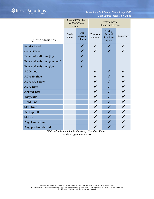# *Follocal Solutions*

|                             | Avaya RT Socket<br>for Real-Time<br>License |                            | Avaya Inova<br><b>Historical License</b> |                                          |           |
|-----------------------------|---------------------------------------------|----------------------------|------------------------------------------|------------------------------------------|-----------|
| Queue Statistics            | Real-<br>Time                               | For<br>Current<br>Interval | Previous<br>Interval                     | Today<br>through<br>Previous<br>Interval | Yesterday |
| <b>Service Level</b>        |                                             | $\checkmark$               |                                          | $\checkmark$                             |           |
| <b>Calls Offered</b>        |                                             |                            |                                          |                                          |           |
| Expected wait time (high)   |                                             |                            |                                          |                                          |           |
| Expected wait time (medium) |                                             |                            |                                          |                                          |           |
| Expected wait time (low)    |                                             |                            |                                          |                                          |           |
| <b>ACD</b> time             |                                             |                            |                                          |                                          |           |
| <b>ACW IN time</b>          |                                             |                            |                                          |                                          |           |
| <b>ACW OUT time</b>         |                                             |                            |                                          |                                          |           |
| <b>ACW</b> time             |                                             |                            |                                          |                                          |           |
| <b>Answer time</b>          |                                             |                            |                                          |                                          |           |
| <b>Busy calls</b>           |                                             |                            |                                          |                                          |           |
| <b>Hold time</b>            |                                             |                            |                                          |                                          |           |
| <b>Staff time</b>           |                                             |                            |                                          |                                          |           |
| <b>Backup calls</b>         |                                             |                            |                                          |                                          |           |
| <b>Staffed</b>              |                                             |                            |                                          |                                          |           |
| Avg. handle time            |                                             |                            |                                          |                                          |           |
| Avg. position staffed       |                                             |                            |                                          |                                          |           |

<span id="page-5-0"></span>*\*This value is available in the Avaya Standard Report.* **Table 1: Queue Statistics**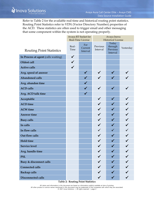Refer to [Table 2](#page-6-0) for the available real-time and historical routing point statistics. Routing Point Statistics refer to VDN (Vector Directory Number) properties of the ACD. These statistics are often used to trigger email and other messaging that some component within the system is not operating properly.

|                                     | Avaya RT Socket for |                            | Avaya Inova               |                                          |           |
|-------------------------------------|---------------------|----------------------------|---------------------------|------------------------------------------|-----------|
|                                     | Real-Time License   |                            | <b>Historical License</b> |                                          |           |
| <b>Routing Point Statistics</b>     | Real-<br>Time       | For<br>Current<br>Interval | Previous<br>Interval      | Today<br>through<br>Previous<br>Interval | Yesterday |
| In Process at agent (calls waiting) | $\checkmark$        |                            |                           |                                          |           |
| Oldest call                         | $\checkmark$        |                            |                           |                                          |           |
| <b>Active calls</b>                 | $\checkmark$        |                            |                           |                                          |           |
| Avg. speed of answer                |                     | $\checkmark$               | $\checkmark$              | $\checkmark$                             |           |
| <b>Abandoned calls</b>              |                     |                            |                           | $\checkmark$                             |           |
| Avg. abandon time                   |                     |                            |                           |                                          |           |
| <b>ACD</b> calls                    |                     | $\checkmark$               | $\checkmark$              | $\checkmark$                             |           |
| Avg. ACD talk time                  |                     | $\checkmark$               |                           |                                          |           |
| Acceptable                          |                     |                            | $\checkmark$              |                                          |           |
| <b>ACD</b> time                     |                     |                            |                           |                                          |           |
| <b>ACW</b> time                     |                     |                            |                           | $\checkmark$                             |           |
| <b>Answer time</b>                  |                     |                            | $\checkmark$              | $\checkmark$                             |           |
| <b>Busy calls</b>                   |                     |                            | $\checkmark$              | $\checkmark$                             |           |
| In calls                            |                     |                            |                           | $\checkmark$                             |           |
| In flow calls                       |                     |                            | $\checkmark$              | $\checkmark$                             |           |
| Out flow calls                      |                     |                            | $\checkmark$              | $\checkmark$                             |           |
| <b>Hold time</b>                    |                     |                            |                           |                                          |           |
| <b>Service level</b>                |                     |                            |                           |                                          |           |
| Avg. handle time                    |                     |                            |                           |                                          |           |
| <b>PSL</b>                          |                     |                            |                           |                                          |           |
| <b>Busy &amp; disconnect calls</b>  |                     |                            |                           |                                          |           |
| <b>Connected calls</b>              |                     |                            |                           |                                          |           |
| <b>Backup calls</b>                 |                     |                            |                           |                                          |           |
| <b>Disconnected calls</b>           |                     |                            | $\checkmark$              | $\checkmark$                             |           |
|                                     |                     |                            |                           |                                          |           |

<span id="page-6-0"></span>**Table 2: Routing Point Statistics**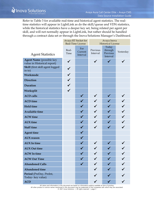Refer to Table 3 for available real-time and historical agent statistics. The realtime statistics will appear in LightLink as do the skill/queue and VDN statistics, while the historical statistics have a deeper key set, being related per agent per skill, and will not normally appear in LightLink, but rather should be handled through a contract data set or through the Inova Solutions Manager's Dashboard.

|                                                                | Avaya RT Socket for<br>Real-Time License |                            | Avaya Inova<br><b>Historical License</b> |                                          |           |  |
|----------------------------------------------------------------|------------------------------------------|----------------------------|------------------------------------------|------------------------------------------|-----------|--|
| <b>Agent Statistics</b>                                        | Real-<br>Time                            | For<br>Current<br>Interval | Previous<br>Interval                     | Today<br>through<br>Previous<br>Interval | Yesterday |  |
| <b>Agent Name</b> (possible key<br>value in Historical report) | $\checkmark$                             |                            | $\checkmark$                             | ✔                                        |           |  |
| Skill (first skill agent logged<br>in to)                      |                                          |                            |                                          |                                          |           |  |
| Workmode                                                       | $\checkmark$                             |                            |                                          |                                          |           |  |
| <b>Direction</b>                                               | $\checkmark$                             |                            |                                          |                                          |           |  |
| <b>Duration</b>                                                | $\checkmark$                             |                            |                                          |                                          |           |  |
| Worksplit                                                      | $\checkmark$                             |                            |                                          |                                          |           |  |
| <b>ACD</b> calls                                               |                                          |                            |                                          |                                          |           |  |
| <b>ACD</b> time                                                |                                          |                            |                                          |                                          |           |  |
| <b>Hold time</b>                                               |                                          |                            |                                          |                                          |           |  |
| <b>Available time</b>                                          |                                          |                            |                                          |                                          |           |  |
| <b>ACW</b> time                                                |                                          |                            |                                          |                                          |           |  |
| <b>AUX</b> time                                                |                                          |                            |                                          |                                          |           |  |
| <b>Staff time</b>                                              |                                          | $\checkmark$               | $\checkmark$                             | $\checkmark$                             |           |  |
| <b>Agent time</b>                                              |                                          |                            |                                          |                                          |           |  |
| <b>AUX</b> reason                                              |                                          | $\checkmark$               |                                          |                                          |           |  |
| <b>AUX</b> In time                                             |                                          |                            |                                          |                                          |           |  |
| <b>AUX Out time</b>                                            |                                          |                            |                                          |                                          |           |  |
| <b>ACW</b> In time                                             |                                          |                            |                                          |                                          |           |  |
| <b>ACW Out Time</b>                                            |                                          |                            |                                          |                                          |           |  |
| <b>Abandoned Calls</b>                                         |                                          | $\checkmark$               |                                          |                                          |           |  |
| <b>Abandoned time</b>                                          |                                          |                            |                                          |                                          |           |  |
| Period (PreDay, PreInt,<br>Today-key value)                    |                                          |                            |                                          |                                          |           |  |
| <b>ACD</b>                                                     |                                          |                            |                                          |                                          |           |  |

All claims and information in this document are based on information publicly available at time of printing.<br>All other product or service names mentioned in this document may be trademarks of the companies with which they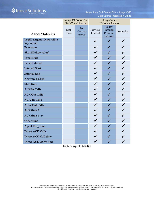# *A* Inova Solutions

Avaya Aura Call Center Elite – Avaya CMS Data Source Installation Guide

|                                         | Avaya RT Socket for<br>Real-Time License |                            | Avaya Inova<br><b>Historical License</b> |                                          |              |
|-----------------------------------------|------------------------------------------|----------------------------|------------------------------------------|------------------------------------------|--------------|
| <b>Agent Statistics</b>                 | Real-<br>Time                            | For<br>Current<br>Interval | Previous<br>Interval                     | Today<br>through<br>Previous<br>Interval | Yesterday    |
| LogID (Agent ID, possible<br>key value) |                                          |                            | $\checkmark$                             | $\checkmark$                             | $\checkmark$ |
| <b>Extension</b>                        |                                          |                            |                                          |                                          |              |
| Skill ID (key value)                    |                                          |                            |                                          |                                          |              |
| <b>Event Date</b>                       |                                          |                            |                                          |                                          |              |
| <b>Event Interval</b>                   |                                          |                            | $\checkmark$                             | $\checkmark$                             |              |
| <b>Interval Start</b>                   |                                          |                            |                                          |                                          |              |
| <b>Interval End</b>                     |                                          |                            | $\checkmark$                             | ✔                                        | $\checkmark$ |
| <b>Answered Calls</b>                   |                                          |                            |                                          | ✔                                        |              |
| <b>Staff time</b>                       |                                          |                            |                                          |                                          |              |
| <b>AUX In Calls</b>                     |                                          |                            |                                          |                                          |              |
| <b>AUX Out Calls</b>                    |                                          |                            |                                          |                                          |              |
| <b>ACW In Calls</b>                     |                                          |                            |                                          | $\checkmark$                             |              |
| <b>ACW Out Calls</b>                    |                                          |                            |                                          |                                          |              |
| <b>AUX</b> time 0                       |                                          |                            | $\checkmark$                             | ✔                                        |              |
| AUX time 1 - 9                          |                                          |                            | $\checkmark$                             | ✔                                        |              |
| <b>Other time</b>                       |                                          |                            | $\checkmark$                             | $\checkmark$                             | $\checkmark$ |
| <b>Agent Ring time</b>                  |                                          |                            |                                          |                                          |              |
| <b>Direct ACD Calls</b>                 |                                          |                            |                                          |                                          |              |
| Direct ACD Call time                    |                                          |                            |                                          |                                          |              |
| <b>Direct ACD ACW time</b>              |                                          |                            |                                          |                                          |              |

**Table 3: Agent Statistics**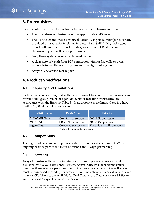## <span id="page-9-0"></span>**3. Prerequisites**

Inova Solutions requires the customer to provide the following information:

- The IP Address or Hostname of the appropriate CMS server.
- The RT Socket and Inova Historical Socket TCP port number(s) per report, provided by Avaya Professional Services. Each Skill, VDN, and Agent report will have its own port number, so a full set of Realtime and Historical reports will be six port numbers.

In addition, these system requirements must be met:

- A clear network path for a TCP connection without firewalls or proxy servers between the Avaya system and the LightLink system.
- Avaya CMS version 6 or higher.

# <span id="page-9-1"></span>**4. Product Specifications**

#### <span id="page-9-2"></span>**4.1. Capacity and Limitations**

Each Socket can be configured with a maximum of 16 sessions. Each session can provide skill group, VDN, or agent data, either real-time or historical, in accordance with the limits in [Table 3.](#page-9-5) In addition to these limits, there is a hard limit of 10,000 data fields per Socket.

| <b>Statistic Type</b>        | Real-Time              | <b>Historical</b>            |  |  |  |
|------------------------------|------------------------|------------------------------|--|--|--|
| Split/Skill Data             | 200 skills per session | 200 skills per session       |  |  |  |
| <b>VDN</b> Data              | 400 VDNs per session   | 400 VDNs per session         |  |  |  |
| <b>Agent Data</b>            | 300 agents per session | Variable by skills per agent |  |  |  |
| Table 2. Coccion Limitations |                        |                              |  |  |  |

**Table 3: Session Limitations**

#### <span id="page-9-5"></span><span id="page-9-3"></span>**4.2. Compatibility**

The LightLink system is compliance tested with released versions of CMS on an ongoing basis as part of the Inova Solutions and Avaya partnership.

#### <span id="page-9-4"></span>**4.3. Licensing**

**Avaya Licensing –** The Avaya interfaces are licensed packages provided and deployed by Avaya Professional Services. Avaya indicates that customers must purchase these interface packages prior to the Inova deployment. Avaya licenses must be purchased separately for access to real-time data and historical data for each Avaya ACD. Licenses are available for Real-Time Avaya Data via Avaya RT Socket and Historical Avaya Data via Avaya Socket.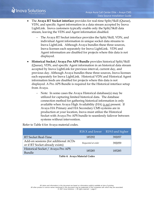- The **Avaya RT Socket interface** provides for real-time Split/Skill (Queue), VDN, and specific Agent information in a data stream accepted by Inova LightLink. Inova customers typically enable only the Split/Skill data stream, leaving the VDN and Agent information disabled.
	- The Avaya RT Socket interface provides the Split/Skill, VDN, and individual Agent information in unique socket data streams to Inova LightLink. Although Avaya bundles these three sources, Inova licenses each separately for Inova LightLink. VDN and Agent information are disabled for projects where this data is not displayed.
- **Historical Socket / Avaya Pro APS Bundle** provides historical Split/Skill (Queue), VDN, and specific Agent information in an historical data stream accepted by Inova LightLink for previous interval, current day, and previous day. Although Avaya bundles these three sources, Inova licenses each separately for Inova LightLink. Historical VDN and Historical Agent information feeds are disabled for projects where this data is not displayed. A Pro APS Bundle is required for the Historical interface setup from Avaya.
	- − Note: In some cases the Avaya Historical database(s) may be utilized for capturing limited historical data. The database connection method for gathering historical information is only available when Avaya High Availability (HA) *is not* present. If Avaya HA Primary and HA Secondary CMS systems are in production at your location, Inova must utilize the Historical Socket with Avaya Pro APS bundle to seamlessly failover between systems without intervention.

Refer to [Table 4](#page-10-0) for Avaya material codes.

<span id="page-10-0"></span>

|                                                                          |                    | R18.X and lower R19.0 and higher |
|--------------------------------------------------------------------------|--------------------|----------------------------------|
| RT Socket Real-Time                                                      | 185292             | 392057                           |
| Add-on sessions (for additional ACDs)<br>or if RT Socket already exists) | Requested at order | 392059                           |
| Historical Socket / Avaya Pro APS<br>Bundle                              | 185285             | 185285                           |

**Table 4: Avaya Material Codes**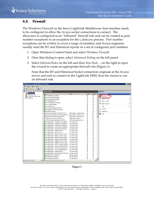#### <span id="page-11-0"></span>**4.4. Firewall**

*i* Inova Solutions

The Windows Firewall on the Inova LightLink Middleware host machine needs to be configured to allow the Avaya socket connections to connect. The allowance is configured as an "Inbound" firewall rule and can be created as port number exceptions or an exception for the i\_dsm.exe process. Port number exceptions can be written to cover a range of numbers, and Avaya engineers usually send the RT and Historical reports on a set of contiguous port numbers.

- 1. Open Windows Control Panel and select *Windows Firewall*.
- 2. Once that dialog is open, select *Advanced Setting* on the left panel.
- 3. Select *Inbound Rules* on the left and then *New Rule…* on the right to open the wizard to create an appropriate firewall rule [\(Figure 1\)](#page-11-1).

Note that the RT and Historical Socket connection originate at the Avaya server and seek to connect to the LightLink DSM, thus the reason to use an inbound rule.

| $\Box$ D $\Box$<br>Windows Firewall with Advanced Security |                                                              |                              |         |                     |                        |  |  |  |
|------------------------------------------------------------|--------------------------------------------------------------|------------------------------|---------|---------------------|------------------------|--|--|--|
| Help<br>Action View<br>File                                |                                                              |                              |         |                     |                        |  |  |  |
| $\Rightarrow$ $\boxed{?}$ $\boxed{ }$<br>嗣<br>œ            |                                                              |                              |         |                     |                        |  |  |  |
| Windows Firewall with Advanced S                           |                                                              |                              |         |                     |                        |  |  |  |
| Inbound Rules<br>鋸                                         | <b>Inbound Rules</b>                                         |                              |         |                     | <b>Actions</b>         |  |  |  |
| Outbound Rules<br>这                                        | Name                                                         | Group $\triangleq$           | Profile | Enabled $\triangle$ | <b>Inbound Rules</b>   |  |  |  |
| <b>Null Connection Security Rules</b>                      | M Inova Application Launcher                                 |                              | All     | Yes                 | New Rule               |  |  |  |
| El Monitoring                                              | <sup>7</sup> Inova Communication Engine                      |                              | All     | Yes                 |                        |  |  |  |
|                                                            | Inova Data Source Manager                                    |                              | All     | Yes                 | Filter by Profile      |  |  |  |
|                                                            | <b>V</b> Inova Database Proxy                                |                              | All     | Yes                 | Filter by State        |  |  |  |
|                                                            | <b>V</b> Inova External Input Manager                        |                              | All     | Yes                 | Filter by Group        |  |  |  |
|                                                            | Inova Output Manager                                         |                              | All     | Yes                 |                        |  |  |  |
|                                                            | <b>M</b> Inova Redis Server                                  |                              | ΔI      | Yes                 | <b>View</b>            |  |  |  |
|                                                            | Inova Unified Logging Subsystem                              |                              | All     | Yes                 | a<br>Refresh           |  |  |  |
|                                                            | InovaSolutions SQL Server Instance                           |                              | All     | Yes                 |                        |  |  |  |
|                                                            | SOL Browser Service                                          |                              | All     | Yes                 | B<br>Export List       |  |  |  |
|                                                            | BranchCache Content Retrieval (HTTP-In)                      | BranchCache - Content Retrie | All     | No                  | $\overline{2}$<br>Help |  |  |  |
|                                                            | BranchCache Hosted Cache Server (HTTP-In)                    | BranchCache - Hosted Cache   | All     | No                  |                        |  |  |  |
|                                                            | BranchCache Peer Discovery (WSD-In)                          | BranchCache - Peer Discovery | All     | No                  |                        |  |  |  |
|                                                            | COM+ Network Access (DCOM-In)                                | COM+ Network Access          | All     | No                  |                        |  |  |  |
|                                                            | COM+ Remote Administration (DCOM-In)                         | COM+ Remote Administration   | All     | No                  |                        |  |  |  |
|                                                            | Core Networking - Destination Unreachable ( Core Networking  |                              | All     | Yes                 |                        |  |  |  |
|                                                            | Core Networking - Destination Unreachable                    | Core Networking              | All     | <b>Yes</b>          |                        |  |  |  |
|                                                            | Core Networking - Dynamic Host Configurati Core Networking   |                              | All     | Yes                 |                        |  |  |  |
|                                                            | Core Networking - Dynamic Host Configurati Core Networking   |                              | All     | <b>Yes</b>          |                        |  |  |  |
|                                                            | Core Networking - Internet Group Managem Core Networking     |                              | All     | Yes                 |                        |  |  |  |
|                                                            | Core Networking - IPHTTPS (TCP-In)                           | Core Networking              | All     | Yes                 |                        |  |  |  |
|                                                            | Core Networking - IPv6 (IPv6-In)                             | Core Networking              | All     | Yes                 |                        |  |  |  |
|                                                            | Core Networking - Multicast Listener Done (I Core Networking |                              | All     | Yes                 |                        |  |  |  |
|                                                            | Core Networking - Multicast Listener Query ( Core Networking |                              | All     | Yes                 |                        |  |  |  |
|                                                            | Core Networking - Multicast Listener Report  Core Networking |                              | All     | Yes                 |                        |  |  |  |
|                                                            | Core Networking - Multicast Listener Report  Core Networking |                              | All     | Yes                 |                        |  |  |  |
|                                                            | Core Networking - Neighbor Discovery Adve Core Networking    |                              | All     | <b>Yes</b>          |                        |  |  |  |
|                                                            | Core Networking - Neighbor Discovery Solicit Core Networking |                              | All     | Yes                 |                        |  |  |  |
|                                                            | Core Networking - Packet Too Big (ICMPv6-In) Core Networking |                              | All     | Yes                 |                        |  |  |  |
|                                                            | Core Networking - Parameter Problem (ICMP Core Networking    |                              | All     | Yes                 |                        |  |  |  |
|                                                            | Core Networking - Router Advertisement (IC Core Networking   |                              | All     | Yes                 |                        |  |  |  |
|                                                            | Core Networking - Router Solicitation (ICMP Core Networking  |                              | All     | Yes                 |                        |  |  |  |
|                                                            | Core Networking - Teredo (UDP-In)                            | Core Networking              | All     | Yes                 |                        |  |  |  |
|                                                            | Core Networking - Time Exceeded (ICMPv6-In) Core Networking  |                              | All     | Yes                 |                        |  |  |  |
|                                                            | DFS Management (DCOM-In)                                     | DFS Management               | All     | Yes                 |                        |  |  |  |
|                                                            | DFS Management (SMB-In)                                      | DFS Management               | All     | Yes                 |                        |  |  |  |
|                                                            | DFS Management (TCP-In)                                      | DFS Management               | All     | Yes                 |                        |  |  |  |
| $\vert \cdot \vert$                                        |                                                              |                              |         |                     |                        |  |  |  |

<span id="page-11-1"></span>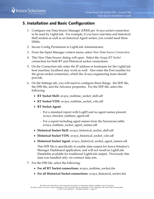### <span id="page-12-0"></span>**5. Installation and Basic Configuration**

- 1. Configure one Data Source Manager (DSM) per Avaya socket connection to be used by LightLink. For example, if you have real-time and historical Skill sockets as well as an historical Agent socket, you would need three DSMs.
- 2. Secure Config Permission in LightLink Administrator.
- 3. From the Input Manager context menu, select *New Data Source Connection*.
- 4. This New Data Source dialog will open. Select the *Avaya RT Socket* connection for both RT and Historical socket connections.
- 5. On the Connection tab, enter the IP address or hostname for the LightLink host machine; localhost may work as well. Also enter the Port number for the given socket connection, which the Avaya engineering team should provide.
- 6. On the Settings tab, you will need to configure three things: the SDF file, the DSS file, and the Advance properties. For the SDF file, select the following:
	- **RT Socket Skill**: avaya\_realtime\_socket\_skill.sdf
	- **RT Socket VDN**: avaya\_realtime\_socket\_vdn.sdf
	- **RT Socket Agent**:
		- − For a standard report with LogID and no agent names present: avaya\_rtsocket\_realtime\_agent.sdf.
		- − For a report including agent names from the Synonyms table: avaya\_realtime\_socket\_agent\_names.sdf
	- **Historical Socket Skill**: avaya\_historical\_socket\_skill.sdf
	- **Historical Socket VDN**: avaya\_historical\_socket\_vdn.sdf
	- **Historical Socket Agent**: avaya\_historical\_socket\_agent\_names.sdf

This SDF file is specifically to enable data output for Inova Solution's Manager Dashboard application, and will not result in LightLink Datafields available for traditional LightLink output. Previously this data was handled only via contract data sets.

- 7. For the DSS file, select the following:
	- **For all RT Socket connections**: avaya\_realtime\_socket.dss
	- **For all Historical Socket connections**: avaya\_historical\_socket.dss